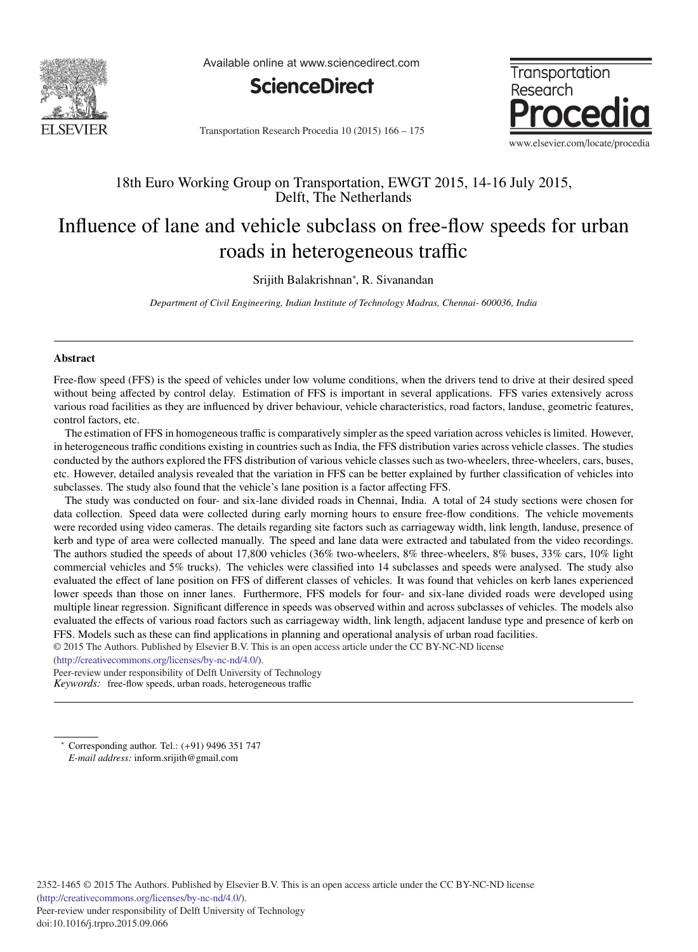

Available online at www.sciencedirect.com





Transportation Research Procedia 10 (2015) 166 - 175

## 18th Euro Working Group on Transportation, EWGT 2015, 14-16 July 2015, Delft, The Netherlands

# Influence of lane and vehicle subclass on free-flow speeds for urban roads in heterogeneous traffic

Srijith Balakrishnan∗ , R. Sivanandan

*Department of Civil Engineering, Indian Institute of Technology Madras, Chennai- 600036, India*

## Abstract

Free-flow speed (FFS) is the speed of vehicles under low volume conditions, when the drivers tend to drive at their desired speed without being affected by control delay. Estimation of FFS is important in several applications. FFS varies extensively across various road facilities as they are influenced by driver behaviour, vehicle characteristics, road factors, landuse, geometric features, control factors, etc.

The estimation of FFS in homogeneous traffic is comparatively simpler as the speed variation across vehicles is limited. However, in heterogeneous traffic conditions existing in countries such as India, the FFS distribution varies across vehicle classes. The studies conducted by the authors explored the FFS distribution of various vehicle classes such as two-wheelers, three-wheelers, cars, buses, etc. However, detailed analysis revealed that the variation in FFS can be better explained by further classification of vehicles into subclasses. The study also found that the vehicle's lane position is a factor affecting FFS.

The study was conducted on four- and six-lane divided roads in Chennai, India. A total of 24 study sections were chosen for data collection. Speed data were collected during early morning hours to ensure free-flow conditions. The vehicle movements were recorded using video cameras. The details regarding site factors such as carriageway width, link length, landuse, presence of kerb and type of area were collected manually. The speed and lane data were extracted and tabulated from the video recordings. The authors studied the speeds of about 17,800 vehicles (36% two-wheelers, 8% three-wheelers, 8% buses, 33% cars, 10% light commercial vehicles and 5% trucks). The vehicles were classified into 14 subclasses and speeds were analysed. The study also evaluated the effect of lane position on FFS of different classes of vehicles. It was found that vehicles on kerb lanes experienced lower speeds than those on inner lanes. Furthermore, FFS models for four- and six-lane divided roads were developed using multiple linear regression. Significant difference in speeds was observed within and across subclasses of vehicles. The models also evaluated the effects of various road factors such as carriageway width, link length, adjacent landuse type and presence of kerb on FFS. Models such as these can find applications in planning and operational analysis of urban road facilities.

c 2015 The Authors. Published by Elsevier B. V. © 2015 The Authors. Published by Elsevier B.V. This is an open access article under the CC BY-NC-ND license

(http://creativecommons.org/licenses/by-nc-nd/4.0/).

*Keywords:* free-flow speeds, urban roads, heterogeneous traffic Peer-review under responsibility of Delft University of Technology

<sup>∗</sup> Corresponding author. Tel.: (+91) 9496 351 747 *E-mail address:* inform.srijith@gmail.com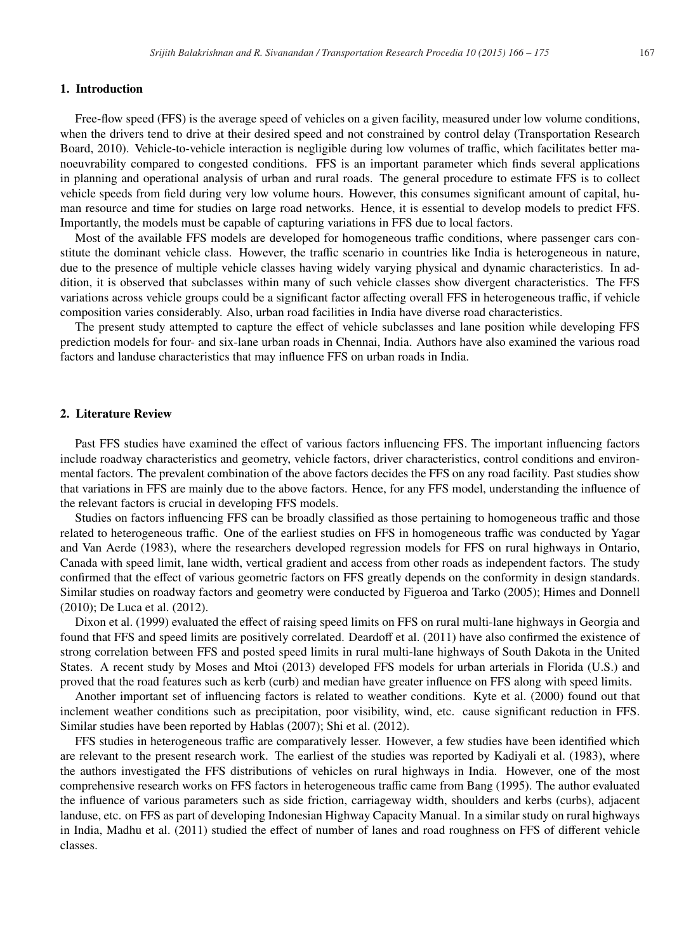## 1. Introduction

Free-flow speed (FFS) is the average speed of vehicles on a given facility, measured under low volume conditions, when the drivers tend to drive at their desired speed and not constrained by control delay (Transportation Research Board, 2010). Vehicle-to-vehicle interaction is negligible during low volumes of traffic, which facilitates better manoeuvrability compared to congested conditions. FFS is an important parameter which finds several applications in planning and operational analysis of urban and rural roads. The general procedure to estimate FFS is to collect vehicle speeds from field during very low volume hours. However, this consumes significant amount of capital, human resource and time for studies on large road networks. Hence, it is essential to develop models to predict FFS. Importantly, the models must be capable of capturing variations in FFS due to local factors.

Most of the available FFS models are developed for homogeneous traffic conditions, where passenger cars constitute the dominant vehicle class. However, the traffic scenario in countries like India is heterogeneous in nature, due to the presence of multiple vehicle classes having widely varying physical and dynamic characteristics. In addition, it is observed that subclasses within many of such vehicle classes show divergent characteristics. The FFS variations across vehicle groups could be a significant factor affecting overall FFS in heterogeneous traffic, if vehicle composition varies considerably. Also, urban road facilities in India have diverse road characteristics.

The present study attempted to capture the effect of vehicle subclasses and lane position while developing FFS prediction models for four- and six-lane urban roads in Chennai, India. Authors have also examined the various road factors and landuse characteristics that may influence FFS on urban roads in India.

## 2. Literature Review

Past FFS studies have examined the effect of various factors influencing FFS. The important influencing factors include roadway characteristics and geometry, vehicle factors, driver characteristics, control conditions and environmental factors. The prevalent combination of the above factors decides the FFS on any road facility. Past studies show that variations in FFS are mainly due to the above factors. Hence, for any FFS model, understanding the influence of the relevant factors is crucial in developing FFS models.

Studies on factors influencing FFS can be broadly classified as those pertaining to homogeneous traffic and those related to heterogeneous traffic. One of the earliest studies on FFS in homogeneous traffic was conducted by Yagar and Van Aerde (1983), where the researchers developed regression models for FFS on rural highways in Ontario, Canada with speed limit, lane width, vertical gradient and access from other roads as independent factors. The study confirmed that the effect of various geometric factors on FFS greatly depends on the conformity in design standards. Similar studies on roadway factors and geometry were conducted by Figueroa and Tarko (2005); Himes and Donnell (2010); De Luca et al. (2012).

Dixon et al. (1999) evaluated the effect of raising speed limits on FFS on rural multi-lane highways in Georgia and found that FFS and speed limits are positively correlated. Deardoff et al. (2011) have also confirmed the existence of strong correlation between FFS and posted speed limits in rural multi-lane highways of South Dakota in the United States. A recent study by Moses and Mtoi (2013) developed FFS models for urban arterials in Florida (U.S.) and proved that the road features such as kerb (curb) and median have greater influence on FFS along with speed limits.

Another important set of influencing factors is related to weather conditions. Kyte et al. (2000) found out that inclement weather conditions such as precipitation, poor visibility, wind, etc. cause significant reduction in FFS. Similar studies have been reported by Hablas (2007); Shi et al. (2012).

FFS studies in heterogeneous traffic are comparatively lesser. However, a few studies have been identified which are relevant to the present research work. The earliest of the studies was reported by Kadiyali et al. (1983), where the authors investigated the FFS distributions of vehicles on rural highways in India. However, one of the most comprehensive research works on FFS factors in heterogeneous traffic came from Bang (1995). The author evaluated the influence of various parameters such as side friction, carriageway width, shoulders and kerbs (curbs), adjacent landuse, etc. on FFS as part of developing Indonesian Highway Capacity Manual. In a similar study on rural highways in India, Madhu et al. (2011) studied the effect of number of lanes and road roughness on FFS of different vehicle classes.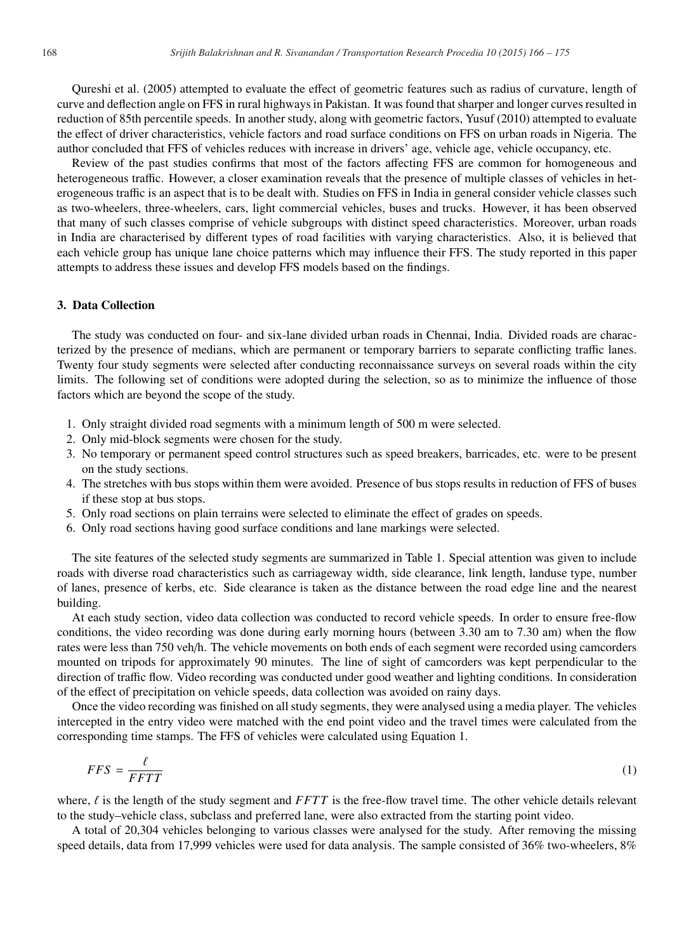Qureshi et al. (2005) attempted to evaluate the effect of geometric features such as radius of curvature, length of curve and deflection angle on FFS in rural highways in Pakistan. It was found that sharper and longer curves resulted in reduction of 85th percentile speeds. In another study, along with geometric factors, Yusuf (2010) attempted to evaluate the effect of driver characteristics, vehicle factors and road surface conditions on FFS on urban roads in Nigeria. The author concluded that FFS of vehicles reduces with increase in drivers' age, vehicle age, vehicle occupancy, etc.

Review of the past studies confirms that most of the factors affecting FFS are common for homogeneous and heterogeneous traffic. However, a closer examination reveals that the presence of multiple classes of vehicles in heterogeneous traffic is an aspect that is to be dealt with. Studies on FFS in India in general consider vehicle classes such as two-wheelers, three-wheelers, cars, light commercial vehicles, buses and trucks. However, it has been observed that many of such classes comprise of vehicle subgroups with distinct speed characteristics. Moreover, urban roads in India are characterised by different types of road facilities with varying characteristics. Also, it is believed that each vehicle group has unique lane choice patterns which may influence their FFS. The study reported in this paper attempts to address these issues and develop FFS models based on the findings.

## 3. Data Collection

The study was conducted on four- and six-lane divided urban roads in Chennai, India. Divided roads are characterized by the presence of medians, which are permanent or temporary barriers to separate conflicting traffic lanes. Twenty four study segments were selected after conducting reconnaissance surveys on several roads within the city limits. The following set of conditions were adopted during the selection, so as to minimize the influence of those factors which are beyond the scope of the study.

- 1. Only straight divided road segments with a minimum length of 500 m were selected.
- 2. Only mid-block segments were chosen for the study.
- 3. No temporary or permanent speed control structures such as speed breakers, barricades, etc. were to be present on the study sections.
- 4. The stretches with bus stops within them were avoided. Presence of bus stops results in reduction of FFS of buses if these stop at bus stops.
- 5. Only road sections on plain terrains were selected to eliminate the effect of grades on speeds.
- 6. Only road sections having good surface conditions and lane markings were selected.

The site features of the selected study segments are summarized in Table 1. Special attention was given to include roads with diverse road characteristics such as carriageway width, side clearance, link length, landuse type, number of lanes, presence of kerbs, etc. Side clearance is taken as the distance between the road edge line and the nearest building.

At each study section, video data collection was conducted to record vehicle speeds. In order to ensure free-flow conditions, the video recording was done during early morning hours (between 3.30 am to 7.30 am) when the flow rates were less than 750 veh/h. The vehicle movements on both ends of each segment were recorded using camcorders mounted on tripods for approximately 90 minutes. The line of sight of camcorders was kept perpendicular to the direction of traffic flow. Video recording was conducted under good weather and lighting conditions. In consideration of the effect of precipitation on vehicle speeds, data collection was avoided on rainy days.

Once the video recording was finished on all study segments, they were analysed using a media player. The vehicles intercepted in the entry video were matched with the end point video and the travel times were calculated from the corresponding time stamps. The FFS of vehicles were calculated using Equation 1.

$$
FFS = \frac{\ell}{FFTT} \tag{1}
$$

where,  $\ell$  is the length of the study segment and  $FFT$  is the free-flow travel time. The other vehicle details relevant to the study–vehicle class, subclass and preferred lane, were also extracted from the starting point video.

A total of 20,304 vehicles belonging to various classes were analysed for the study. After removing the missing speed details, data from 17,999 vehicles were used for data analysis. The sample consisted of 36% two-wheelers, 8%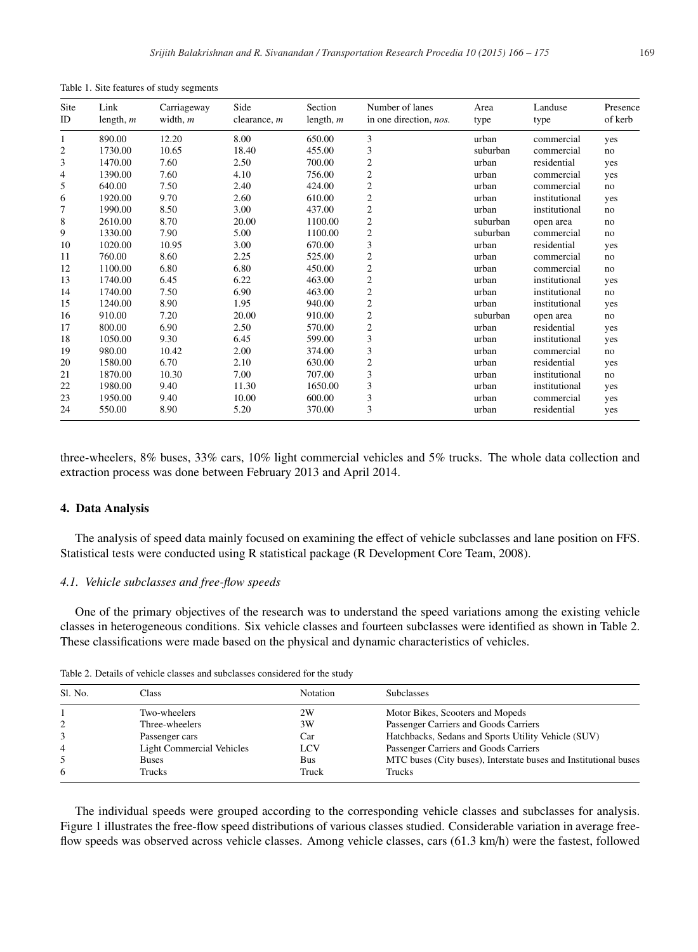| Site<br>ID              | Link<br>length, $m$ | Carriageway<br>width, $m$ | Side<br>clearance, $m$ | Section<br>length, $m$ | Number of lanes<br>in one direction, nos. | Area<br>type | Landuse<br>type | Presence<br>of kerb |
|-------------------------|---------------------|---------------------------|------------------------|------------------------|-------------------------------------------|--------------|-----------------|---------------------|
| $\mathbf{1}$            | 890.00              | 12.20                     | 8.00                   | 650.00                 | 3                                         | urban        | commercial      | yes                 |
| $\overline{\mathbf{c}}$ | 1730.00             | 10.65                     | 18.40                  | 455.00                 | 3                                         | suburban     | commercial      | no                  |
| 3                       | 1470.00             | 7.60                      | 2.50                   | 700.00                 | $\overline{c}$                            | urban        | residential     | yes                 |
| 4                       | 1390.00             | 7.60                      | 4.10                   | 756.00                 | $\overline{c}$                            | urban        | commercial      | yes                 |
| 5                       | 640.00              | 7.50                      | 2.40                   | 424.00                 | $\overline{c}$                            | urban        | commercial      | no                  |
| 6                       | 1920.00             | 9.70                      | 2.60                   | 610.00                 | $\mathbf{2}$                              | urban        | institutional   | yes                 |
| 7                       | 1990.00             | 8.50                      | 3.00                   | 437.00                 | $\mathbf{2}$                              | urban        | institutional   | no                  |
| 8                       | 2610.00             | 8.70                      | 20.00                  | 1100.00                | $\mathfrak{2}$                            | suburban     | open area       | no                  |
| 9                       | 1330.00             | 7.90                      | 5.00                   | 1100.00                | 2                                         | suburban     | commercial      | no                  |
| 10                      | 1020.00             | 10.95                     | 3.00                   | 670.00                 | 3                                         | urban        | residential     | yes                 |
| 11                      | 760.00              | 8.60                      | 2.25                   | 525.00                 | $\mathfrak{2}$                            | urban        | commercial      | no                  |
| 12                      | 1100.00             | 6.80                      | 6.80                   | 450.00                 | $\mathbf{2}$                              | urban        | commercial      | no                  |
| 13                      | 1740.00             | 6.45                      | 6.22                   | 463.00                 | $\overline{c}$                            | urban        | institutional   | yes                 |
| 14                      | 1740.00             | 7.50                      | 6.90                   | 463.00                 | $\mathfrak{2}$                            | urban        | institutional   | no                  |
| 15                      | 1240.00             | 8.90                      | 1.95                   | 940.00                 | $\,2$                                     | urban        | institutional   | yes                 |
| 16                      | 910.00              | 7.20                      | 20.00                  | 910.00                 | $\mathbf{2}$                              | suburban     | open area       | no                  |
| 17                      | 800.00              | 6.90                      | 2.50                   | 570.00                 | $\overline{c}$                            | urban        | residential     | yes                 |
| 18                      | 1050.00             | 9.30                      | 6.45                   | 599.00                 | 3                                         | urban        | institutional   | yes                 |
| 19                      | 980.00              | 10.42                     | 2.00                   | 374.00                 | 3                                         | urban        | commercial      | no                  |
| 20                      | 1580.00             | 6.70                      | 2.10                   | 630.00                 | $\mathbf{2}$                              | urban        | residential     | yes                 |
| 21                      | 1870.00             | 10.30                     | 7.00                   | 707.00                 | 3                                         | urban        | institutional   | no                  |
| 22                      | 1980.00             | 9.40                      | 11.30                  | 1650.00                | 3                                         | urban        | institutional   | yes                 |
| 23                      | 1950.00             | 9.40                      | 10.00                  | 600.00                 | 3                                         | urban        | commercial      | yes                 |
| 24                      | 550.00              | 8.90                      | 5.20                   | 370.00                 | 3                                         | urban        | residential     | yes                 |

Table 1. Site features of study segments

three-wheelers, 8% buses, 33% cars, 10% light commercial vehicles and 5% trucks. The whole data collection and extraction process was done between February 2013 and April 2014.

## 4. Data Analysis

The analysis of speed data mainly focused on examining the effect of vehicle subclasses and lane position on FFS. Statistical tests were conducted using R statistical package (R Development Core Team, 2008).

## *4.1. Vehicle subclasses and free-flow speeds*

One of the primary objectives of the research was to understand the speed variations among the existing vehicle classes in heterogeneous conditions. Six vehicle classes and fourteen subclasses were identified as shown in Table 2. These classifications were made based on the physical and dynamic characteristics of vehicles.

| Sl. No.        | Class                            | <b>Notation</b> | <b>Subclasses</b>                                                |
|----------------|----------------------------------|-----------------|------------------------------------------------------------------|
|                | Two-wheelers                     | 2W              | Motor Bikes, Scooters and Mopeds                                 |
| 2              | Three-wheelers                   | 3W              | Passenger Carriers and Goods Carriers                            |
| 3              | Passenger cars                   | Car             | Hatchbacks, Sedans and Sports Utility Vehicle (SUV)              |
| $\overline{4}$ | <b>Light Commercial Vehicles</b> | <b>LCV</b>      | Passenger Carriers and Goods Carriers                            |
|                | <b>Buses</b>                     | Bus             | MTC buses (City buses), Interstate buses and Institutional buses |
| 6              | <b>Trucks</b>                    | Truck           | <b>Trucks</b>                                                    |

| Table 2. Details of vehicle classes and subclasses considered for the study |  |
|-----------------------------------------------------------------------------|--|
|-----------------------------------------------------------------------------|--|

The individual speeds were grouped according to the corresponding vehicle classes and subclasses for analysis. Figure 1 illustrates the free-flow speed distributions of various classes studied. Considerable variation in average freeflow speeds was observed across vehicle classes. Among vehicle classes, cars (61.3 km/h) were the fastest, followed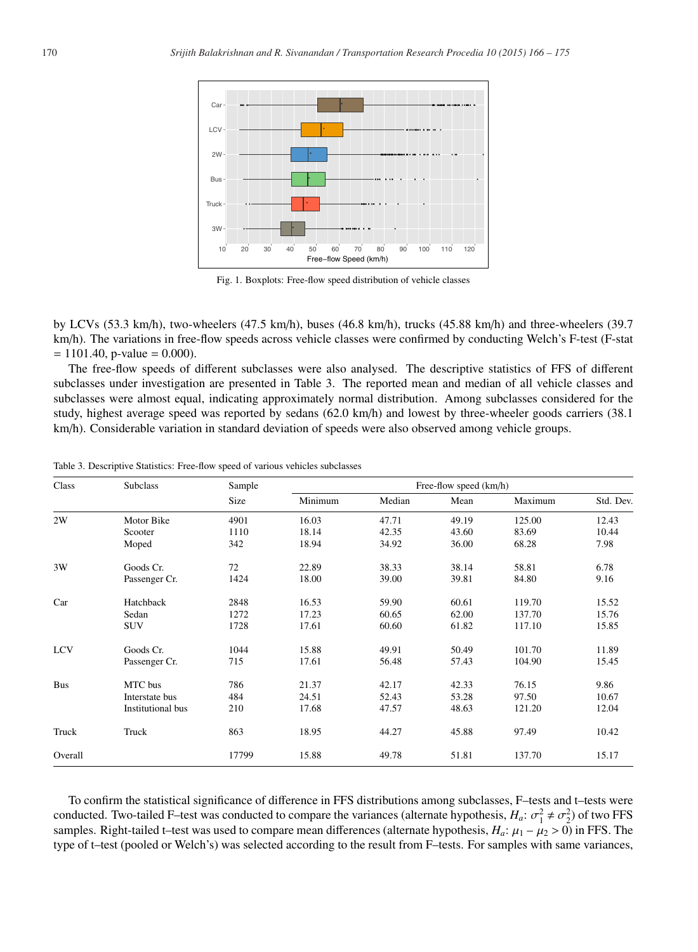

Fig. 1. Boxplots: Free-flow speed distribution of vehicle classes

by LCVs (53.3 km/h), two-wheelers (47.5 km/h), buses (46.8 km/h), trucks (45.88 km/h) and three-wheelers (39.7 km/h). The variations in free-flow speeds across vehicle classes were confirmed by conducting Welch's F-test (F-stat  $= 1101.40$ , p-value  $= 0.000$ ).

The free-flow speeds of different subclasses were also analysed. The descriptive statistics of FFS of different subclasses under investigation are presented in Table 3. The reported mean and median of all vehicle classes and subclasses were almost equal, indicating approximately normal distribution. Among subclasses considered for the study, highest average speed was reported by sedans (62.0 km/h) and lowest by three-wheeler goods carriers (38.1 km/h). Considerable variation in standard deviation of speeds were also observed among vehicle groups.

| Class      | <b>Subclass</b>   | Sample |         | Free-flow speed (km/h) |       |         |           |  |  |
|------------|-------------------|--------|---------|------------------------|-------|---------|-----------|--|--|
|            |                   | Size   | Minimum | Median                 | Mean  | Maximum | Std. Dev. |  |  |
| 2W         | Motor Bike        | 4901   | 16.03   | 47.71                  | 49.19 | 125.00  | 12.43     |  |  |
|            | Scooter           | 1110   | 18.14   | 42.35                  | 43.60 | 83.69   | 10.44     |  |  |
|            | Moped             | 342    | 18.94   | 34.92                  | 36.00 | 68.28   | 7.98      |  |  |
| 3W         | Goods Cr.         | 72     | 22.89   | 38.33                  | 38.14 | 58.81   | 6.78      |  |  |
|            | Passenger Cr.     | 1424   | 18.00   | 39.00                  | 39.81 | 84.80   | 9.16      |  |  |
| Car        | Hatchback         | 2848   | 16.53   | 59.90                  | 60.61 | 119.70  | 15.52     |  |  |
|            | Sedan             | 1272   | 17.23   | 60.65                  | 62.00 | 137.70  | 15.76     |  |  |
|            | <b>SUV</b>        | 1728   | 17.61   | 60.60                  | 61.82 | 117.10  | 15.85     |  |  |
| <b>LCV</b> | Goods Cr.         | 1044   | 15.88   | 49.91                  | 50.49 | 101.70  | 11.89     |  |  |
|            | Passenger Cr.     | 715    | 17.61   | 56.48                  | 57.43 | 104.90  | 15.45     |  |  |
| <b>Bus</b> | MTC bus           | 786    | 21.37   | 42.17                  | 42.33 | 76.15   | 9.86      |  |  |
|            | Interstate bus    | 484    | 24.51   | 52.43                  | 53.28 | 97.50   | 10.67     |  |  |
|            | Institutional bus | 210    | 17.68   | 47.57                  | 48.63 | 121.20  | 12.04     |  |  |
| Truck      | Truck             | 863    | 18.95   | 44.27                  | 45.88 | 97.49   | 10.42     |  |  |
| Overall    |                   | 17799  | 15.88   | 49.78                  | 51.81 | 137.70  | 15.17     |  |  |

Table 3. Descriptive Statistics: Free-flow speed of various vehicles subclasses

To confirm the statistical significance of difference in FFS distributions among subclasses, F–tests and t–tests were conducted. Two-tailed F–test was conducted to compare the variances (alternate hypothesis,  $H_a: \sigma_1^2 \neq \sigma_2^2$ ) of two FFS samples. Right-tailed t–test was used to compare mean differences (alternate hypothesis,  $H_a$ :  $\mu_1 - \mu_2 > 0$ ) in FFS. The type of t–test (pooled or Welch's) was selected according to the result from F–tests. For samples with same variances,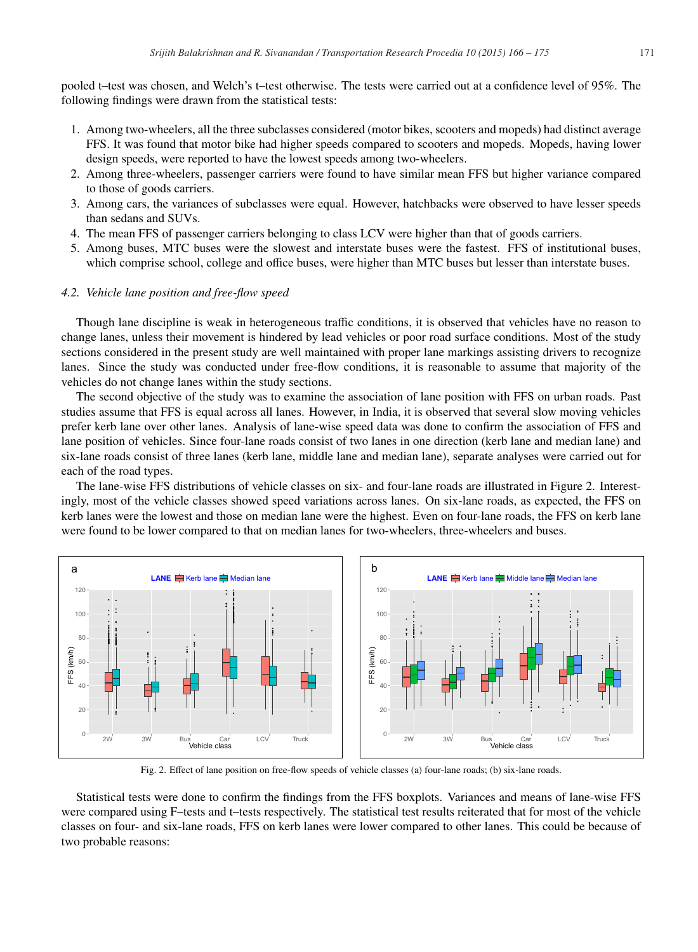pooled t–test was chosen, and Welch's t–test otherwise. The tests were carried out at a confidence level of 95%. The following findings were drawn from the statistical tests:

- 1. Among two-wheelers, all the three subclasses considered (motor bikes, scooters and mopeds) had distinct average FFS. It was found that motor bike had higher speeds compared to scooters and mopeds. Mopeds, having lower design speeds, were reported to have the lowest speeds among two-wheelers.
- 2. Among three-wheelers, passenger carriers were found to have similar mean FFS but higher variance compared to those of goods carriers.
- 3. Among cars, the variances of subclasses were equal. However, hatchbacks were observed to have lesser speeds than sedans and SUVs.
- 4. The mean FFS of passenger carriers belonging to class LCV were higher than that of goods carriers.
- 5. Among buses, MTC buses were the slowest and interstate buses were the fastest. FFS of institutional buses, which comprise school, college and office buses, were higher than MTC buses but lesser than interstate buses.

## *4.2. Vehicle lane position and free-flow speed*

Though lane discipline is weak in heterogeneous traffic conditions, it is observed that vehicles have no reason to change lanes, unless their movement is hindered by lead vehicles or poor road surface conditions. Most of the study sections considered in the present study are well maintained with proper lane markings assisting drivers to recognize lanes. Since the study was conducted under free-flow conditions, it is reasonable to assume that majority of the vehicles do not change lanes within the study sections.

The second objective of the study was to examine the association of lane position with FFS on urban roads. Past studies assume that FFS is equal across all lanes. However, in India, it is observed that several slow moving vehicles prefer kerb lane over other lanes. Analysis of lane-wise speed data was done to confirm the association of FFS and lane position of vehicles. Since four-lane roads consist of two lanes in one direction (kerb lane and median lane) and six-lane roads consist of three lanes (kerb lane, middle lane and median lane), separate analyses were carried out for each of the road types.

The lane-wise FFS distributions of vehicle classes on six- and four-lane roads are illustrated in Figure 2. Interestingly, most of the vehicle classes showed speed variations across lanes. On six-lane roads, as expected, the FFS on kerb lanes were the lowest and those on median lane were the highest. Even on four-lane roads, the FFS on kerb lane were found to be lower compared to that on median lanes for two-wheelers, three-wheelers and buses.



Fig. 2. Effect of lane position on free-flow speeds of vehicle classes (a) four-lane roads; (b) six-lane roads.

Statistical tests were done to confirm the findings from the FFS boxplots. Variances and means of lane-wise FFS were compared using F–tests and t–tests respectively. The statistical test results reiterated that for most of the vehicle classes on four- and six-lane roads, FFS on kerb lanes were lower compared to other lanes. This could be because of two probable reasons: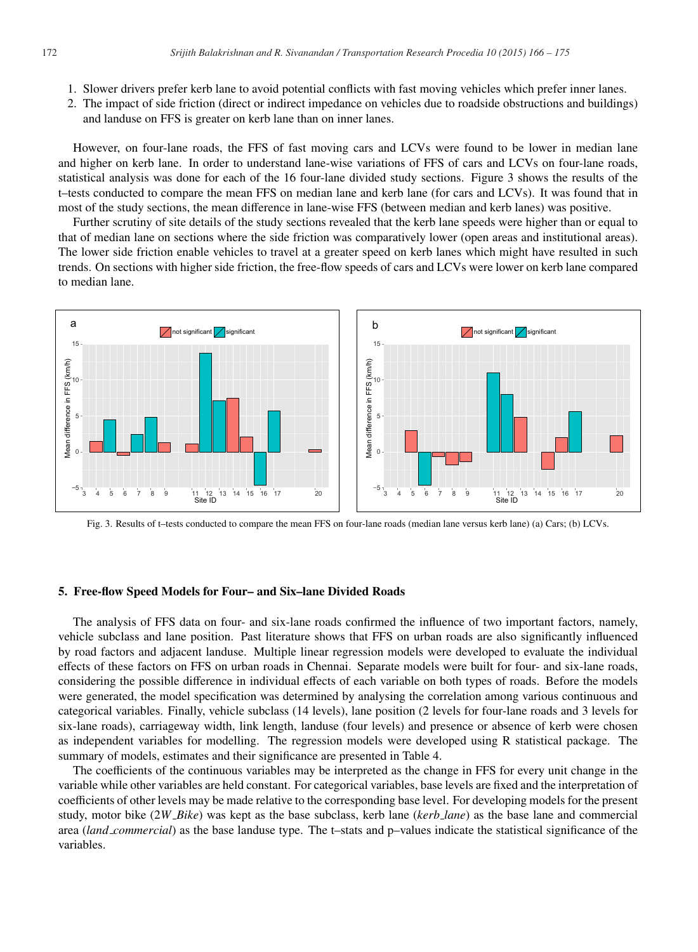- 1. Slower drivers prefer kerb lane to avoid potential conflicts with fast moving vehicles which prefer inner lanes.
- 2. The impact of side friction (direct or indirect impedance on vehicles due to roadside obstructions and buildings) and landuse on FFS is greater on kerb lane than on inner lanes.

However, on four-lane roads, the FFS of fast moving cars and LCVs were found to be lower in median lane and higher on kerb lane. In order to understand lane-wise variations of FFS of cars and LCVs on four-lane roads, statistical analysis was done for each of the 16 four-lane divided study sections. Figure 3 shows the results of the t–tests conducted to compare the mean FFS on median lane and kerb lane (for cars and LCVs). It was found that in most of the study sections, the mean difference in lane-wise FFS (between median and kerb lanes) was positive.

Further scrutiny of site details of the study sections revealed that the kerb lane speeds were higher than or equal to that of median lane on sections where the side friction was comparatively lower (open areas and institutional areas). The lower side friction enable vehicles to travel at a greater speed on kerb lanes which might have resulted in such trends. On sections with higher side friction, the free-flow speeds of cars and LCVs were lower on kerb lane compared to median lane.



Fig. 3. Results of t–tests conducted to compare the mean FFS on four-lane roads (median lane versus kerb lane) (a) Cars; (b) LCVs.

### 5. Free-flow Speed Models for Four– and Six–lane Divided Roads

The analysis of FFS data on four- and six-lane roads confirmed the influence of two important factors, namely, vehicle subclass and lane position. Past literature shows that FFS on urban roads are also significantly influenced by road factors and adjacent landuse. Multiple linear regression models were developed to evaluate the individual effects of these factors on FFS on urban roads in Chennai. Separate models were built for four- and six-lane roads, considering the possible difference in individual effects of each variable on both types of roads. Before the models were generated, the model specification was determined by analysing the correlation among various continuous and categorical variables. Finally, vehicle subclass (14 levels), lane position (2 levels for four-lane roads and 3 levels for six-lane roads), carriageway width, link length, landuse (four levels) and presence or absence of kerb were chosen as independent variables for modelling. The regression models were developed using R statistical package. The summary of models, estimates and their significance are presented in Table 4.

The coefficients of the continuous variables may be interpreted as the change in FFS for every unit change in the variable while other variables are held constant. For categorical variables, base levels are fixed and the interpretation of coefficients of other levels may be made relative to the corresponding base level. For developing models for the present study, motor bike (2*W Bike*) was kept as the base subclass, kerb lane (*kerb lane*) as the base lane and commercial area (*land commercial*) as the base landuse type. The t–stats and p–values indicate the statistical significance of the variables.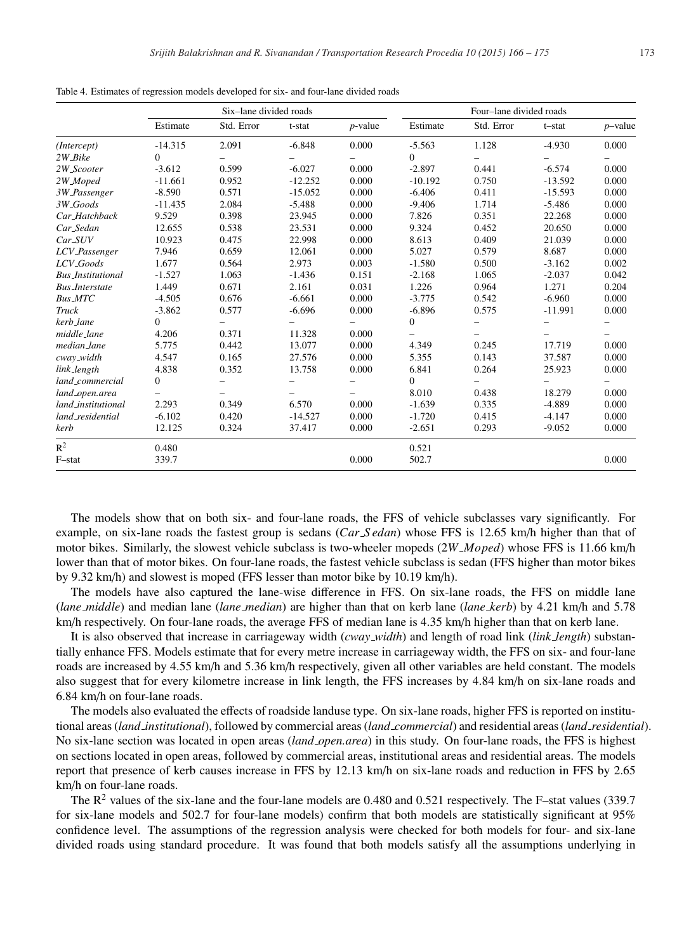|                          | Six-lane divided roads |                          |           | Four-lane divided roads  |              |                          |           |            |
|--------------------------|------------------------|--------------------------|-----------|--------------------------|--------------|--------------------------|-----------|------------|
|                          | Estimate               | Std. Error               | t-stat    | $p$ -value               | Estimate     | Std. Error               | t-stat    | $p$ -value |
| (Intercept)              | $-14.315$              | 2.091                    | $-6.848$  | 0.000                    | $-5.563$     | 1.128                    | $-4.930$  | 0.000      |
| $2W_B$ ike               | $\Omega$               | $\overline{\phantom{0}}$ |           |                          | $\Omega$     |                          |           |            |
| 2W_Scooter               | $-3.612$               | 0.599                    | $-6.027$  | 0.000                    | $-2.897$     | 0.441                    | $-6.574$  | 0.000      |
| 2W_Moped                 | $-11.661$              | 0.952                    | $-12.252$ | 0.000                    | $-10.192$    | 0.750                    | $-13.592$ | 0.000      |
| 3W_Passenger             | $-8.590$               | 0.571                    | $-15.052$ | 0.000                    | $-6.406$     | 0.411                    | $-15.593$ | 0.000      |
| 3W_Goods                 | $-11.435$              | 2.084                    | $-5.488$  | 0.000                    | $-9.406$     | 1.714                    | $-5.486$  | 0.000      |
| Car_Hatchback            | 9.529                  | 0.398                    | 23.945    | 0.000                    | 7.826        | 0.351                    | 22.268    | 0.000      |
| Car_Sedan                | 12.655                 | 0.538                    | 23.531    | 0.000                    | 9.324        | 0.452                    | 20.650    | 0.000      |
| Car_SUV                  | 10.923                 | 0.475                    | 22.998    | 0.000                    | 8.613        | 0.409                    | 21.039    | 0.000      |
| LCV_Passenger            | 7.946                  | 0.659                    | 12.061    | 0.000                    | 5.027        | 0.579                    | 8.687     | 0.000      |
| LCV_Goods                | 1.677                  | 0.564                    | 2.973     | 0.003                    | $-1.580$     | 0.500                    | $-3.162$  | 0.002      |
| <b>Bus Institutional</b> | $-1.527$               | 1.063                    | $-1.436$  | 0.151                    | $-2.168$     | 1.065                    | $-2.037$  | 0.042      |
| <b>Bus_Interstate</b>    | 1.449                  | 0.671                    | 2.161     | 0.031                    | 1.226        | 0.964                    | 1.271     | 0.204      |
| <b>Bus MTC</b>           | $-4.505$               | 0.676                    | $-6.661$  | 0.000                    | $-3.775$     | 0.542                    | $-6.960$  | 0.000      |
| <b>Truck</b>             | $-3.862$               | 0.577                    | $-6.696$  | 0.000                    | $-6.896$     | 0.575                    | $-11.991$ | 0.000      |
| kerb_lane                | $\Omega$               |                          |           |                          | $\mathbf{0}$ | -                        |           |            |
| middle_lane              | 4.206                  | 0.371                    | 11.328    | 0.000                    |              |                          |           |            |
| median_lane              | 5.775                  | 0.442                    | 13.077    | 0.000                    | 4.349        | 0.245                    | 17.719    | 0.000      |
| cway_width               | 4.547                  | 0.165                    | 27.576    | 0.000                    | 5.355        | 0.143                    | 37.587    | 0.000      |
| link_length              | 4.838                  | 0.352                    | 13.758    | 0.000                    | 6.841        | 0.264                    | 25.923    | 0.000      |
| land_commercial          | $\mathbf{0}$           | $\overline{\phantom{0}}$ |           | $\overline{\phantom{0}}$ | $\Omega$     | $\overline{\phantom{0}}$ |           |            |
| land_open.area           |                        |                          |           |                          | 8.010        | 0.438                    | 18.279    | 0.000      |
| land_institutional       | 2.293                  | 0.349                    | 6.570     | 0.000                    | $-1.639$     | 0.335                    | $-4.889$  | 0.000      |
| land_residential         | $-6.102$               | 0.420                    | $-14.527$ | 0.000                    | $-1.720$     | 0.415                    | $-4.147$  | 0.000      |
| kerb                     | 12.125                 | 0.324                    | 37.417    | 0.000                    | $-2.651$     | 0.293                    | $-9.052$  | 0.000      |
| $R^2$                    | 0.480                  |                          |           |                          | 0.521        |                          |           |            |
| F-stat                   | 339.7                  |                          |           | 0.000                    | 502.7        |                          |           | 0.000      |

Table 4. Estimates of regression models developed for six- and four-lane divided roads

The models show that on both six- and four-lane roads, the FFS of vehicle subclasses vary significantly. For example, on six-lane roads the fastest group is sedans (*Car S edan*) whose FFS is 12.65 km/h higher than that of motor bikes. Similarly, the slowest vehicle subclass is two-wheeler mopeds (2*W Moped*) whose FFS is 11.66 km/h lower than that of motor bikes. On four-lane roads, the fastest vehicle subclass is sedan (FFS higher than motor bikes by 9.32 km/h) and slowest is moped (FFS lesser than motor bike by 10.19 km/h).

The models have also captured the lane-wise difference in FFS. On six-lane roads, the FFS on middle lane (*lane middle*) and median lane (*lane median*) are higher than that on kerb lane (*lane kerb*) by 4.21 km/h and 5.78 km/h respectively. On four-lane roads, the average FFS of median lane is 4.35 km/h higher than that on kerb lane.

It is also observed that increase in carriageway width (*cway width*) and length of road link (*link length*) substantially enhance FFS. Models estimate that for every metre increase in carriageway width, the FFS on six- and four-lane roads are increased by 4.55 km/h and 5.36 km/h respectively, given all other variables are held constant. The models also suggest that for every kilometre increase in link length, the FFS increases by 4.84 km/h on six-lane roads and 6.84 km/h on four-lane roads.

The models also evaluated the effects of roadside landuse type. On six-lane roads, higher FFS is reported on institutional areas (*land institutional*), followed by commercial areas (*land commercial*) and residential areas (*land residential*). No six-lane section was located in open areas (*land open.area*) in this study. On four-lane roads, the FFS is highest on sections located in open areas, followed by commercial areas, institutional areas and residential areas. The models report that presence of kerb causes increase in FFS by 12.13 km/h on six-lane roads and reduction in FFS by 2.65 km/h on four-lane roads.

The  $R^2$  values of the six-lane and the four-lane models are 0.480 and 0.521 respectively. The F–stat values (339.7) for six-lane models and 502.7 for four-lane models) confirm that both models are statistically significant at 95% confidence level. The assumptions of the regression analysis were checked for both models for four- and six-lane divided roads using standard procedure. It was found that both models satisfy all the assumptions underlying in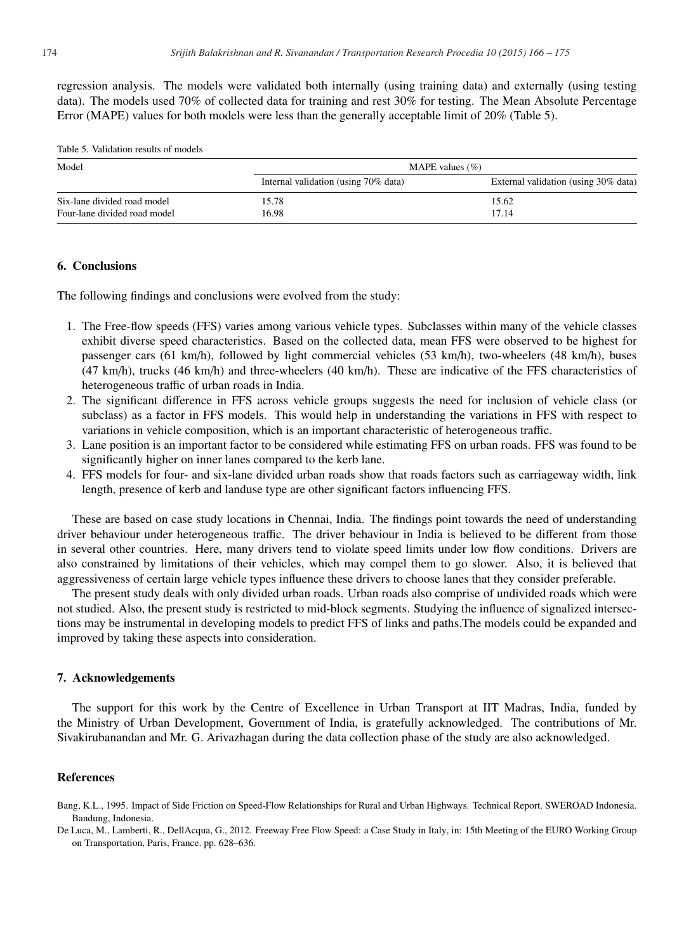regression analysis. The models were validated both internally (using training data) and externally (using testing data). The models used 70% of collected data for training and rest 30% for testing. The Mean Absolute Percentage Error (MAPE) values for both models were less than the generally acceptable limit of 20% (Table 5).

| Table 5. Validation results of models |  |
|---------------------------------------|--|
|---------------------------------------|--|

| Model                        | MAPE values $(\%)$                   |                                      |  |  |  |  |
|------------------------------|--------------------------------------|--------------------------------------|--|--|--|--|
|                              | Internal validation (using 70% data) | External validation (using 30% data) |  |  |  |  |
| Six-lane divided road model  | 15.78                                | 15.62                                |  |  |  |  |
| Four-lane divided road model | 16.98                                | 17.14                                |  |  |  |  |

## 6. Conclusions

The following findings and conclusions were evolved from the study:

- 1. The Free-flow speeds (FFS) varies among various vehicle types. Subclasses within many of the vehicle classes exhibit diverse speed characteristics. Based on the collected data, mean FFS were observed to be highest for passenger cars (61 km/h), followed by light commercial vehicles (53 km/h), two-wheelers (48 km/h), buses (47 km/h), trucks (46 km/h) and three-wheelers (40 km/h). These are indicative of the FFS characteristics of heterogeneous traffic of urban roads in India.
- 2. The significant difference in FFS across vehicle groups suggests the need for inclusion of vehicle class (or subclass) as a factor in FFS models. This would help in understanding the variations in FFS with respect to variations in vehicle composition, which is an important characteristic of heterogeneous traffic.
- 3. Lane position is an important factor to be considered while estimating FFS on urban roads. FFS was found to be significantly higher on inner lanes compared to the kerb lane.
- 4. FFS models for four- and six-lane divided urban roads show that roads factors such as carriageway width, link length, presence of kerb and landuse type are other significant factors influencing FFS.

These are based on case study locations in Chennai, India. The findings point towards the need of understanding driver behaviour under heterogeneous traffic. The driver behaviour in India is believed to be different from those in several other countries. Here, many drivers tend to violate speed limits under low flow conditions. Drivers are also constrained by limitations of their vehicles, which may compel them to go slower. Also, it is believed that aggressiveness of certain large vehicle types influence these drivers to choose lanes that they consider preferable.

The present study deals with only divided urban roads. Urban roads also comprise of undivided roads which were not studied. Also, the present study is restricted to mid-block segments. Studying the influence of signalized intersections may be instrumental in developing models to predict FFS of links and paths.The models could be expanded and improved by taking these aspects into consideration.

### 7. Acknowledgements

The support for this work by the Centre of Excellence in Urban Transport at IIT Madras, India, funded by the Ministry of Urban Development, Government of India, is gratefully acknowledged. The contributions of Mr. Sivakirubanandan and Mr. G. Arivazhagan during the data collection phase of the study are also acknowledged.

## References

Bang, K.L., 1995. Impact of Side Friction on Speed-Flow Relationships for Rural and Urban Highways. Technical Report. SWEROAD Indonesia. Bandung, Indonesia.

De Luca, M., Lamberti, R., DellAcqua, G., 2012. Freeway Free Flow Speed: a Case Study in Italy, in: 15th Meeting of the EURO Working Group on Transportation, Paris, France. pp. 628–636.